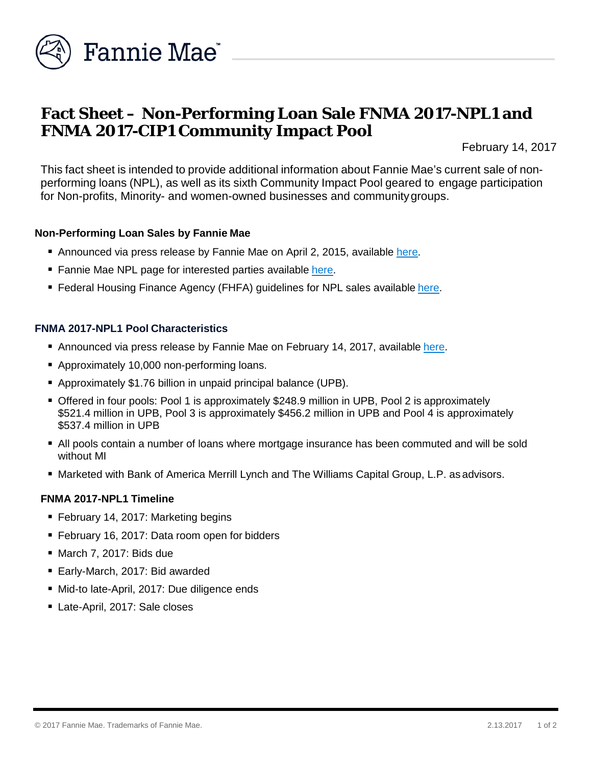

# **Fact Sheet – Non-Performing Loan Sale FNMA 2017-NPL1 and FNMA 2017-CIP1 Community Impact Pool**

February 14, 2017

This fact sheet is intended to provide additional information about Fannie Mae's current sale of nonperforming loans (NPL), as well as its sixth Community Impact Pool geared to engage participation for Non-profits, Minority- and women-owned businesses and communitygroups.

## **Non-Performing Loan Sales by Fannie Mae**

- Announced via press release by Fannie Mae on April 2, 2015, available [here.](http://www.fanniemae.com/portal/media/financial-news/2015/6233.html)
- Fannie Mae NPL page for interested parties available [here.](http://www.fanniemae.com/portal/funding-the-market/npl/index.html)
- **Federal Housing Finance Agency (FHFA) guidelines for NPL sales available [here.](http://www.fhfa.gov/Media/PublicAffairs/Pages/Non-Performing-Loan-%28NPL%29-Sale-Requirements.aspx)**

# **FNMA 2017-NPL1 Pool Characteristics**

- Announced via press release by Fannie Mae on February 14, 2017, available [here.](http://www.fanniemae.com/portal/media/financial-news/2017/non-performing-loan-sale-6516.html)
- Approximately 10,000 non-performing loans.
- Approximately \$1.76 billion in unpaid principal balance (UPB).
- **Offered in four pools: Pool 1 is approximately \$248.9 million in UPB, Pool 2 is approximately** \$521.4 million in UPB, Pool 3 is approximately \$456.2 million in UPB and Pool 4 is approximately \$537.4 million in UPB
- All pools contain a number of loans where mortgage insurance has been commuted and will be sold without MI
- Marketed with Bank of America Merrill Lynch and The Williams Capital Group, L.P. as advisors.

#### **FNMA 2017-NPL1 Timeline**

- February 14, 2017: Marketing begins
- February 16, 2017: Data room open for bidders
- March 7, 2017: Bids due
- Early-March, 2017: Bid awarded
- Mid-to late-April, 2017: Due diligence ends
- Late-April, 2017: Sale closes